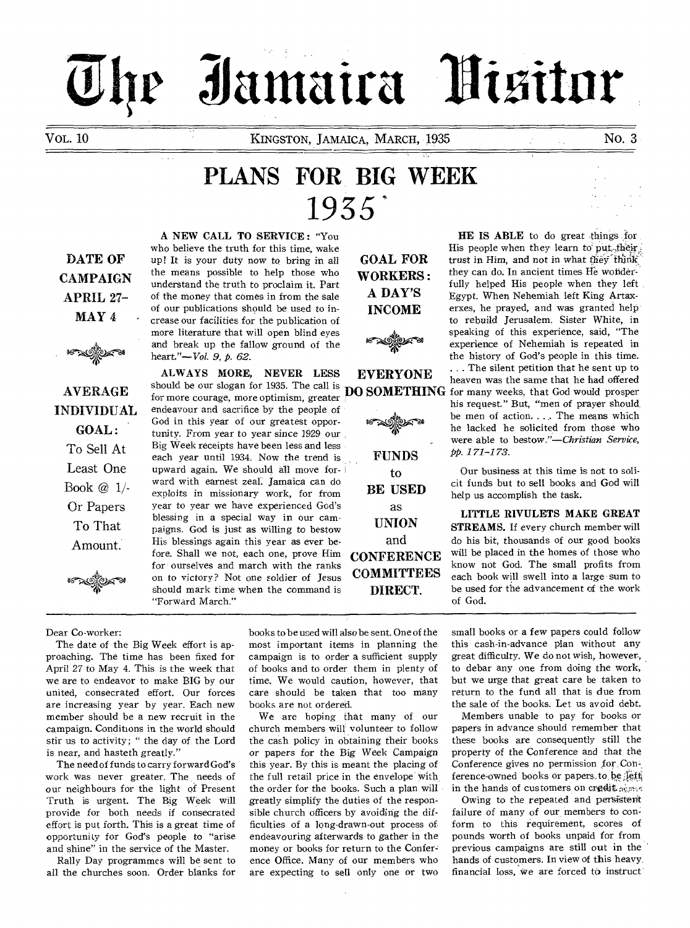# Jamaira Nisitor

VOL. 10 **KINGSTON, JAMAICA, MARCH, 1935** No. 3

# **PLANS FOR BIG WEEK**  1935

**DATE OF CAMPAIGN APRIL 27- MAY 4** 



**AVERAGE INDIVIDUAL GOAL :**  To Sell At Least One Book @ 1/- Or Papers To That Amount.

**A NEW CALL TO SERVICE :** "You who believe the truth for this time, wake up! It is your duty now to bring in all the means possible to help those who understand the truth to proclaim it. Part of the money that comes in from the sale of our publications should be used to increase our facilities for the publication of more literature that will open blind eyes and break up the fallow ground of the heart."—Vol. 9, p. 62.

**ALWAYS MORE, NEVER LESS**  should be our slogan for 1935. The call is for more courage, more optimism, greater endeavour and sacrifice by the people of God in this year of our greatest opportunity. From year to year since 1929 our Big Week receipts have been less and less each year until 1934. Now the trend is upward again. We should all move forward with earnest zeal: Jamaica can do exploits in missionary work, for from year to year we have experienced God's blessing in a special way in our campaigns. God is just as willing to bestow His blessings again this year as ever before. Shall we not, each one, prove Him for ourselves and march with the ranks on to victory? Not one soldier of Jesus should mark time when the command is "Forward March."

**GOAL FOR WORKERS : A DAY'S INCOME** 

∜ত∠ক **EVERYONE** 

**FUNDS to BE USED**  as **UNION**  and **CONFERENCE COMMITTEES DIRECT.** 

**HE IS ABLE** to do great things for His people when they learn to put their; trust in Him, and not in what they think they can do. In ancient times He wonderfully helped His people when they left Egypt. When Nehemiah left King Artaxerxes, he prayed, and was granted help to rebuild Jerusalem. Sister White, in speaking of this experience, said, "The experience of Nehemiah is repeated in the history of God's people in this time.

**DO SOMETHING**  for many weeks, that God would prosper . . . The silent petition that he sent up to heaven was the same that he had offered his request." But, "men of prayer should be men of action. . . . The means which he lacked he solicited from those who were able to *bestow."—Christian Service,*  pp. 171-173.

> Our business at this time is not to solicit funds but to sell books and God will help us accomplish the task.

> **LITTLE RIVULETS MAKE GREAT STREAMS.** If every church member will do his bit, thousands of our good books will be placed in the homes of those who know not God. The small profits from each book will swell into a large sum to be used for the advancement of the work of God.

Dear Co-worker:

The date of the Big Week effort is approaching. The time has been fixed for April 27 to May 4. This is the week that we are to endeavor to make BIG by our united, consecrated effort. Our forces are increasing year by year. Each new member should be a new recruit in the campaign. Conditions in the world should stir us to activity; " the day of the Lord is near, and hasteth greatly."

The need of funds to carry forward God's work was never greater. The needs of our neighbours for the light of Present Truth is urgent. The Big Week will provide for both needs if consecrated effort is put forth. This is a great time of opportunity for God's people to "arise and shine" in the service of the Master.

Rally Day programmes will be sent to all the churches soon. Order blanks for

books to be used will also be sent. One of the most important items in planning the campaign is to order a sufficient supply of books and to order them in plenty of time. We would caution, however, that care should be taken that too many books are not ordered.

We are hoping that many of our church members will volunteer to follow the cash policy in obtaining their books or papers for the Big Week Campaign this year. By this is meant the placing of the full retail price in the envelope with the order for the books. Such a plan will greatly simplify the duties of the responsible church officers by avoiding the difficulties of a long-drawn-out process of endeavouring afterwards to gather in the money or books for return to the Conference Office. Many of our members who are expecting to sell only one or two

small books or a few papers could follow this cash-in-advance plan without any great difficulty. We do not wish, however, to debar any one from doing the work, but we urge that great care be taken to return to the fund all that is due from the sale of the books. Let us avoid debt.

Members unable to pay for books or papers in advance should remember that these books are consequently still the property of the Conference and that the Conference gives no permission for Conference-owned books or papers.to be left in the hands of customers on credit acres

Owing to the repeated and persistent failure of many of our members to conform to this requirement, scores of pounds worth of books unpaid for from previous campaigns are still out in the hands of customers. In view of this heavy financial loss, we are forced to instruct'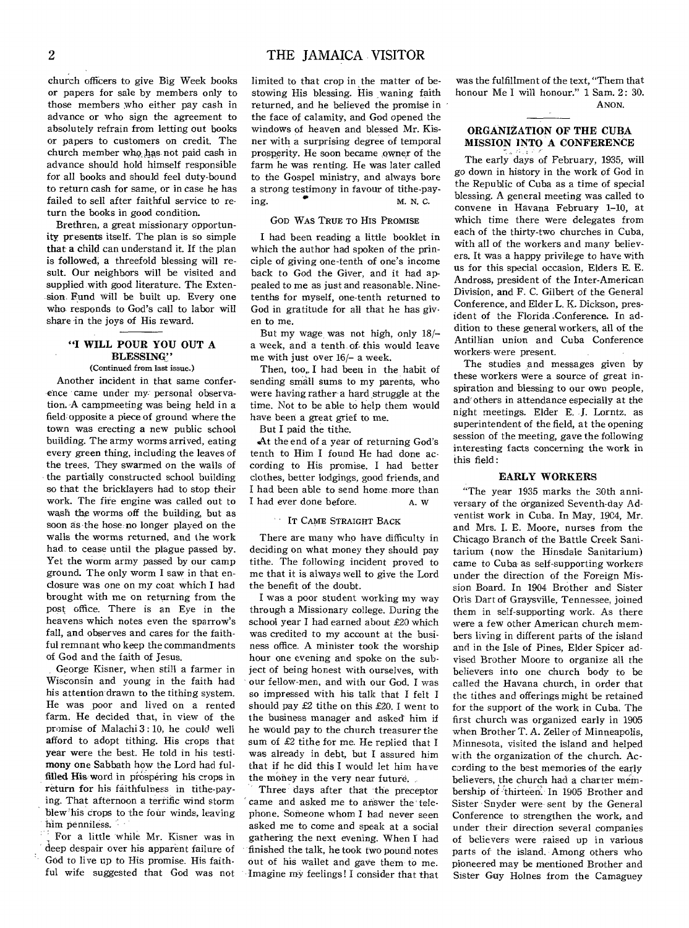church officers to give Big Week books or papers for sale by members only to those members who either pay cash in advance or who sign the agreement to absolutely refrain from letting out books or papers to customers on credit. The church member who ,has not paid cash in advance should hold himself responsible for all books and should feel duty-bound to return cash for same, or in case he has failed to sell after faithful service to return the books in good condition.

Brethren, a great missionary opportunity presents itself. The plan is so simple that a child can understand it. If the plan is followed, a threefold blessing will result. Our neighbors will be visited and supplied, with good literature. The Extension. Fund will be built up. Every one who responds to God's call to labor will share in the joys of His reward.

#### **"I WILL POUR YOU OUT A BLESSING"**

#### (Continued from last issue.)

Another incident in that same conference came under my personal observation. A campmeeting was being held in a field, opposite a piece of ground where the town was erecting a new public school building. The army worms arrived, eating every green thing, including the leaves of the trees. They swarmed on the walls of the partially constructed school building so that the bricklayers had to stop their work. The fire engine was called out to wash the worms off the building, but as soon as the hose no longer played on the walls the worms returned, and the work had. to cease until the plague passed by. Yet the worm army passed by our camp ground. The only worm I saw in that enclosure was one on my coat which I had brought with me on returning from the post office. There is an Eye in the heavens which notes even the sparrow's fall, and observes and cares for the faithful remnant who keep the commandments of God and the faith of Jesus.

George Kisner, when still a farmer in Wisconsin and young in the faith had his attention drawn to the tithing system. He was poor and lived on a rented farm. He decided that, in view of the promise of Malachi 3 : 10, he could well afford to adopt tithing. His crops that **year were** the best. He told in his testimony **one** Sabbath how the Lord had fulfilled His word in prospering his crops in **return for** his faithfulness in tithe-paying. That afternoon a terrific wind storm blew 'his crops to the four winds, leaving him penniless.

For a little while Mr. Kisner was in deep despair over his apparent failure of God to live up to His promise. His faithful wife suggested that God was not limited to that crop in the matter of bestowing His blessing. His waning faith returned, and he believed the promise in the face of calamity, and God opened the windows of heaven and blessed Mr. Kisner with a surprising degree of temporal prosperity. He soon became owner of the farm he was renting. He was later called to the Gospel ministry, and always bore a strong testimony in favour of tithe-pay $ing.$  M. N. C.

#### GOD WAS TRUE TO HIS PROMISE

I had been reading a little booklet in which the author had spoken of the principle of giving one-tenth of one's income back to God the Giver, and it had appealed to me as just and reasonable. Ninetenths for myself, one-tenth returned to God in gratitude for all that he has given to me.

But my wage, was not high, only 18/ a week, and a tenth of• this would leave me with just over 16/— a week.

Then, too,, I had been in the habit of sending small sums to my parents, who were having rather a hard struggle at the time. Not to be able to help them would have been a great grief to me.

But I paid the tithe.

At the end of a year of returning God's tenth to Him I found He had done according to His promise. I had better clothes, better lodgings, good friends, and I had been able to send home more than I had ever done before. A. W

#### IT CAME STRAIGHT BACK

There are many who have difficulty in deciding on what money they should pay tithe. The following incident proved to me that it is always well to give the Lord the benefit of the doubt.

I was a poor student working my way through a Missionary college. During the school year I had earned about £20 which was credited to my account at the business office. A minister took the worship hour one evening and spoke on the subject of being honest with ourselves, with our fellow-men, and with our God. I was so impressed with his talk that I felt I should pay £2 tithe on this £20. I went to the business manager and asked him if he would pay to the church treasurer the sum of £2 tithe for me. He replied that I was already in debt, but I assured him that if he did this I would let him have the money in the very near future.

Three days after that the preceptor came and asked me to answer the telephone. Someone whom I had never seen asked me to come and speak at a social gathering the next evening. When I had finished the talk, he took two pound notes out of his wallet and gave them to me. Imagine my feelings ! I consider that that

was the fulfillment of the text, "Them that honour Me I will honour." 1 Sam. 2: 30. ANON.

#### **ORGANIZATION OF THE CUBA MISSION INTO A CONFERENCE**

The early days of February, 1935, will go down in history in the work of God in the Republic of Cuba as a time of special blessing. A general meeting was called to convene in Havana February 1-10, at which time there were delegates from each of the thirty-two churches in Cuba, with all of the workers and many believers. It was a happy privilege to have with us for this special occasion, Elders E. E. Andross, president of the Inter-American Division, and F. C. Gilbert of the General Conference, and Elder L. K. Dickson, president of the Florida -Conference. In addition to these general workers, all of the Antillian union and Cuba Conference workers were present.

The studies and messages given by these workers were a source of great inspiration and blessing to our own people, and others in attendance especially at the night meetings. Elder E. J. Lorntz, as superintendent of the field, at the opening session of the meeting, gave the following interesting facts concerning the work in this field:

#### **EARLY WORKERS**

"The year 1935 marks the 30th anniversary of the organized Seventh-day Adventist work in Cuba. In May, 1904, Mr. and Mrs. I. E. Moore, nurses from the Chicago Branch of the Battle Creek Sanitarium (now the Hinsdale Sanitarium) came to Cuba as self-supporting workers under the direction of the Foreign Mission Board. In 1904 Brother and Sister Otis Dart of Graysville, Tennessee, joined them in self-supporting work. As there were a few other American church members living in different parts of the island and in the Isle of Pines, Elder Spicer advised Brother Moore to organize all the believers into one church body to be called the Havana church, in order that the tithes and offerings might be retained for the support of the work in Cuba. The first church was organized early in 1905 when Brother T. A. Zeller of Minneapolis, Minnesota, visited the island and helped with the organization of the church. According to the best memories of the early believers, the church had a charter membership of thirteen. In 1905 Brother and Sister Snyder were sent by the General Conference to strengthen the work, and under their direction several companies of believers were raised up in various parts of the island. Among others who pioneered may be mentioned Brother and Sister Guy Holnes from the Camaguey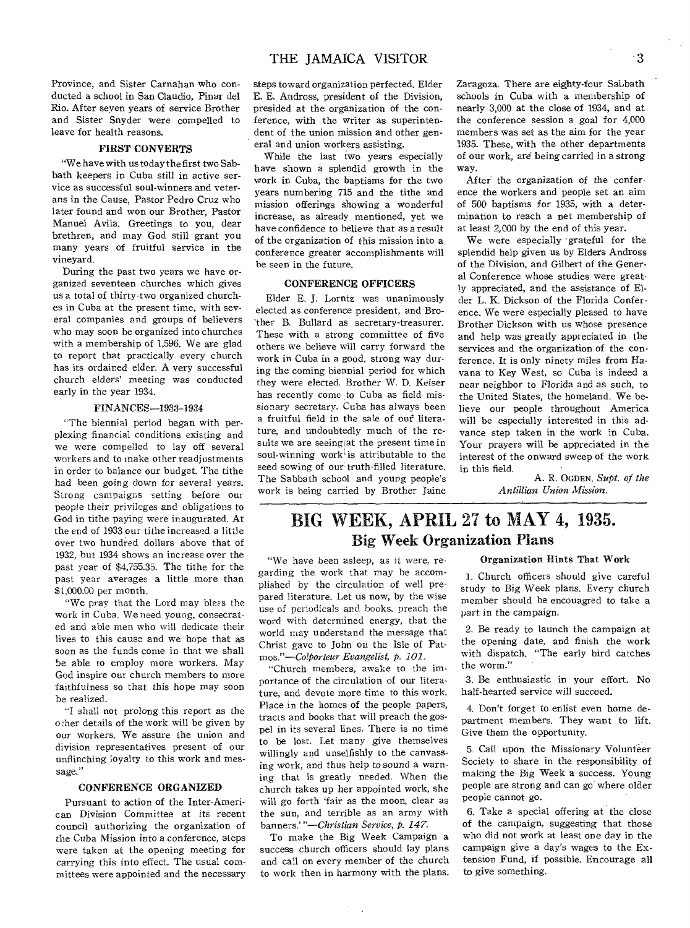Province, and Sister Carnahan who conducted a school in San Claudio, Pinar del Rio. After seven years of service Brother and Sister Snyder were compelled to leave for health reasons.

#### FIRST CONVERTS

"We have with us today the first two Sabbath keepers in Cuba still in active service as successful soul-winners and veterans in the Cause, Pastor Pedro Cruz who later found and won our Brother, Pastor Manuel Avila. Greetings to you, dear brethren, and may God still grant you many years of fruitful service in the vineyard.

During the past two years we have organized seventeen churches which gives us a total of thirty-two organized churches in Cuba at the present time, with several companies and groups of believers who may soon be organized into churches with a membership of 1,596. We are glad to report that practically every church has its ordained elder. A very successful church elders' meeting was conducted early in the year 1934.

#### FINANCES-1933-1934

"The biennial period began with perplexing financial conditions existing and we were compelled to lay off several workers and to make other readjustments in order to balance our budget. The tithe had been going down for several years. Strong campaigns setting before our people their privileges and obligations to God in tithe paying were inaugurated. At the end of 1933 our tithe increased a little over two hundred dollars above that of 1932, but 1934 shows an increase over the past year of \$4,755.35. The tithe for the past year averages a little more than \$1,000.00 per month.

"We pray that the Lord may bless the work in Cuba. We need young, consecrated and able men who will dedicate their lives to this cause and we hope that as soon as the funds come in that we shall be able to employ more workers. May God inspire our church members to more faithfulness so that this hope may soon be realized.

"I shall not prolong this report as the other details of the work will be given by our workers. We assure the union and division representatives present of our unflinching loyalty to this work and message."

#### CONFERENCE ORGANIZED

Pursuant to action of the Inter-American Division Committee at its recent council authorizing the organization of the Cuba Mission into a conference, steps were taken at the opening meeting for carrying this into effect. The usual committees were appointed and the necessary

steps toward organization perfected. Elder E. E. Andross, president of the Division, presided at the organization of the conference, with the writer as superintendent of the union mission and other general and union workers assisting.

While the last two years especially have shown a splendid growth in the work in Cuba, the baptisms for the two years numbering 715 and the tithe and mission offerings showing a wonderful increase, as already mentioned, yet we have confidence to believe that as a result of the organization of this mission into a conference greater accomplishments will be seen in the future.

#### CONFERENCE OFFICERS

Elder E. J. Lorntz was unanimously elected as conference president, and Brother B. Bullard as secretary-treasurer. These with a strong committee of five others we believe will carry forward the work in Cuba in a good, strong way during the coming biennial period for which they were elected. Brother W. D. Keiser has recently come to Cuba as field missionary secretary. Cuba has always been a fruitful field in the sale of our literature, and undoubtedly much of the results we are seeing at the present time in soul-winning work' is attributable to the seed sowing of our truth-filled literature. The Sabbath school and young people's work is being carried by Brother Jaine Zaragoza. There are eighty-four Sabbath schools in Cuba with a membership of nearly 3,000 at the close of 1934, and at the conference session a goal for 4,000 members was set as the aim for the year 1935. These, with the other departments of our work, are being carried in a strong way.

After the organization of the conference the workers and people set an aim *of* 500 baptisms for 1935, with a determination to reach a net membership of at least 2,000 by the end of this year.

We were especially grateful for the splendid help given us by Elders Andross of the Division, and Gilbert of the General Conference whose studies were greatly appreciated, and the assistance of Elder L. K. Dickson of the Florida Conference. We were especially pleased to have Brother Dickson with us whose presence and help was greatly appreciated in the services and the organization of the conference. It is only ninety miles from Havana to Key West, so Cuba is indeed a near neighbor to Florida and as such, to the United States, the homeland. We believe our people throughout America will be especially interested in this advance step taken in the work in Cuba. Your prayers will be appreciated in the interest of the onward sweep of the work in this field.

A. R. OGDEN, *Supt. of the Antillian Union Mission.* 

# **BIG WEEK, APRIL 27 to MAY 4, 1935.**  Big Week Organization Plans

"We have been asleep, as it were, regarding the work that may be accomplished by the circulation of well prepared literature. Let us now, by the wise use of periodicals and books, preach the word with determined energy, that the world may understand the message that Christ gave to John on the Isle of Pat*mos."—Colporteur Evangelist, p. 101.* 

"Church members, awake to the importance of the circulation of our literature, and devote more time to this work. Place in the homes of the people papers, tracts and books that will preach the gospel in its several lines. There is no time to be lost. Let many give themselves willingly and unselfishly to the canvassing work, and thus help to sound a warning that is greatly needed. When the church takes up her appointed work, she will go forth 'fair as the moon, clear as the sun, and terrible as an army with banners.' *"—Christian Service, p. 147.* 

To make the Big Week Campaign a success church officers should lay plans and call on every member of the church to work then in harmony with the plans.

#### Organization Hints That Work

1. Church officers should give careful study to Big Week plans. Every church member should be encouagred to take a part in the campaign.

2. Be ready to launch the campaign at the opening date, and finish the work with dispatch. "The early bird catches the worm."

3. Be enthusiastic in your effort. No half-hearted service will succeed.

4. Don't forget to enlist even home department members. They want to lift. Give them the opportunity.

5. Call upon the Missionary Volunteer Society to share in the responsibility of making the Big Week a success. Young people are strong and can go where older people cannot go.

6. Take a special offering at the close of the campaign, suggesting that those who did not work at least one day in the campaign give a day's wages to the Extension Fund, if possible. Encourage all to give something.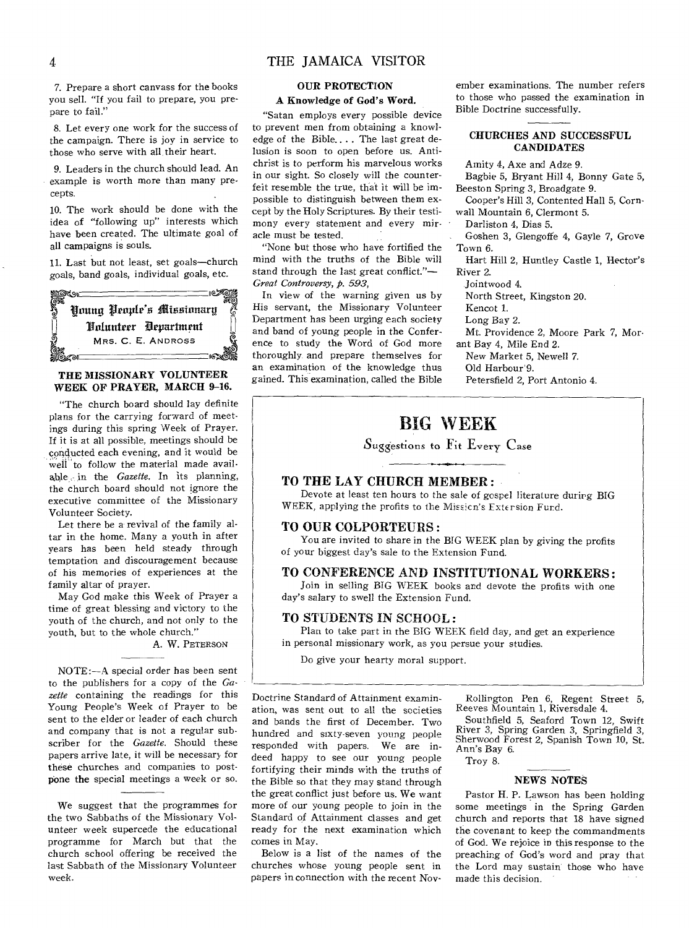#### 4 THE JAMAICA VISITOR

7. Prepare a short canvass for the books you sell. "If you fail to prepare, you prepare to fail."

8. Let every one work for the success of the campaign. There is joy in service to those who serve with all, their heart.

9. Leaders in the church should lead. An example is worth more than many precepts.

10. The work should be done with the idea of "following up" interests which have been created. The ultimate goal of all campaigns is souls.

11. Last but not least, set goals—church goals, band goals, individual goals, etc.



#### THE MISSIONARY VOLUNTEER WEEK OF PRAYER, MARCH 9-16.

"The church board should lay definite plans for the carrying forward of meetings during this spring Week of Prayer. If it is at all possible, meetings should be conducted each evening, and it would be well to follow the material made available in the *Gazette.* In its planning, the church board should not ignore the executive committee of the Missionary Volunteer Society.

Let there be a revival of the family altar in the home. Many a youth in after years has been held steady through temptation and discouragement because of his memories of experiences at the family altar of prayer.

May God make this Week of Prayer a time of great blessing and victory to the youth of the church, and not only to the youth, but to the whole church."

A. W. PETERSON

NOTE:—A special order has been sent to the publishers for a copy of the *Gazette* containing the readings for this Young People's Week of Prayer to be sent to the elder or leader of each church and company that is not a regular subscriber for the *Gazette.* Should these papers arrive late, it will be necessary for these churches and companies to postpone the special meetings a week or so.

We suggest that the programmes for the two Sabbaths of the Missionary Volunteer week supercede the educational programme for March but that the church school offering be received the last Sabbath of the Missionary Volunteer week.

#### OUR PROTECTION

#### A Knowledge of God's Word.

"Satan employs every possible device to prevent men from obtaining a knowledge of the Bible.... The last great delusion is soon to open before us. Antichrist is to perform his marvelous works in our sight. So closely will the counterfeit resemble the true, that it will be impossible to distinguish between them except by the Holy Scriptures. By their testimony every statement and every miracle must be tested.

"None but those who have fortified the mind with the truths of the Bible will stand through the last great conflict."— *Great Controversy, p. 593,* 

In view of the warning given us by His servant, the Missionary Volunteer Department has been urging each society and band of young people in the Conference to study the Word of God more thoroughly and prepare themselves for an examination of the knowledge thus gained. This examination, called the Bible

ember examinations. The number refers to those who passed the examination in Bible Doctrine successfully.

#### CHURCHES AND SUCCESSFUL CANDIDATES

Amity 4, Axe and Adze 9.

- Bagbie 5, Bryant Hill 4, Bonny Gate 5, Beeston Spring 3, Broadgate 9.
- Cooper's Hill 3, Contented Hall 5, Cornwall Mountain 6, Clermont 5.

Darliston 4, Dias 5.

Goshen 3, Glengoffe 4, Gayle 7, Grove Town 6.

Hart Hill 2, Huntley Castle 1, Hector's River 2.

Jointwood 4.

North Street, Kingston 20.

Kencot 1.

Long Bay 2.

Mt. Providence 2, Moore Park 7, Morant Bay 4, Mile End 2.

New Market 5, Newell 7.

Old Harbour'9.

Petersfield 2, Port Antonio 4.

## BIG WEEK

Suggestions to Fit Every Case

#### TO THE LAY CHURCH MEMBER :

Devote at least ten hours to the sale of gospel literature during BIG WEEK, applying the profits to the Missicn's Fxte rsion Furd.

#### TO OUR COLPORTEURS :

You are invited to share in the BIG WEEK plan by giving the profits of your biggest day's sale to the Extension Fund.

#### TO CONFERENCE AND INSTITUTIONAL WORKERS :

Join in selling BIG WEEK books and devote the profits with one day's salary to swell the Extension Fund.

#### TO STUDENTS IN SCHOOL :

Plan to take part in the BIG WEEK field day, and get an experience in personal missionary work, as you persue your studies.

Do give your hearty moral support.

Doctrine Standard of Attainment examination, was sent out to all the societies and bands the first of December. Two hundred and sixty-seven young people responded with papers. We are indeed happy to see our young people fortifying their minds with the truths of the Bible so that they may stand through the great conflict just before us. We want more of our young people to join in the Standard of Attainment classes and get ready for the next examination which comes in May.

Below is a list of the names of the churches whose young people sent in papers in connection with the recent Nov-

Rollington Pen 6, Regent Street 5, Reeves Mountain 1, Riversdale 4.

Southfield 5, Seaford Town 12, Swift River 3, Spring Garden 3, Springfield 3, Sherwood Forest 2, Spanish Town 10, St. Ann's Bay 6.

Troy 8.

#### NEWS NOTES

Pastor H. P. Lawson has been holding some meetings in the Spring Garden church and reports that 18 have signed the covenant to keep the commandments of God. We rejoice in this response to the preaching of God's word and pray that the Lord may sustain those who have made this decision.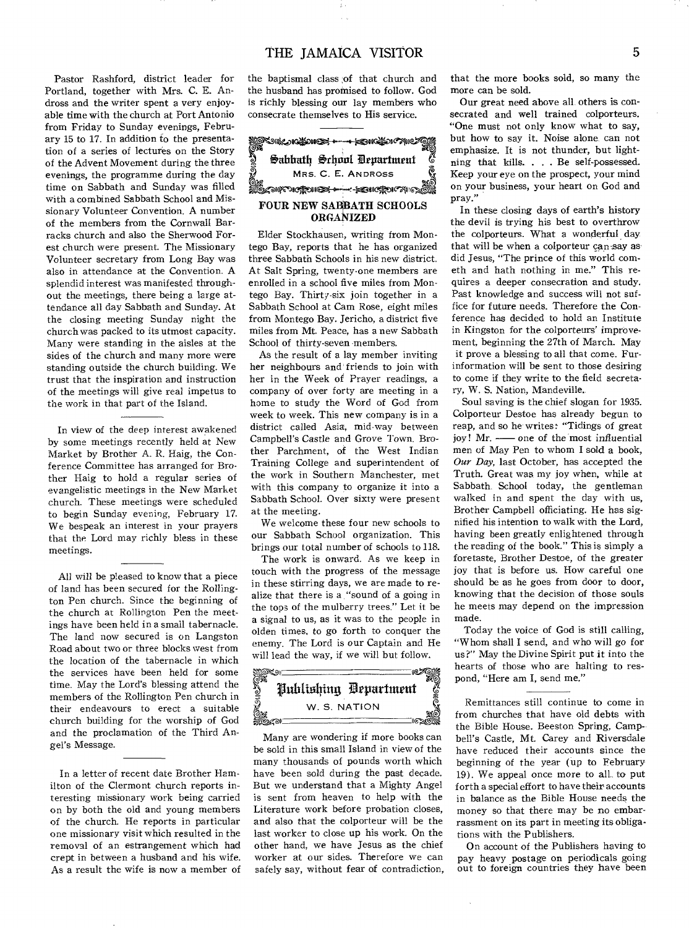#### THE IAMAICA VISITOR 5

Pastor Rashford, district leader for Portland, together with Mrs. C. E. Andross and the writer spent a very enjoyable time with the church at Port Antonio from Friday to Sunday evenings, February 15 to 17. In addition to the presentation of a series of lectures on the Story of the Advent Movement during the three evenings, the programme during the day time on Sabbath and Sunday was filled with a combined Sabbath School and Missionary Volunteer Convention. A number of the members from the Cornwall Barracks church and also the Sherwood Forest church were present. The Missionary Volunteer secretary from Long Bay was also in attendance at the Convention. A splendid interest was manifested throughout the meetings, there being a large attendance all day Sabbath and Sunday. At the closing meeting Sunday night the church was packed to its utmost capacity. Many were standing in the aisles at the sides of the church and many more were standing outside the church building. We trust that the inspiration and instruction of the meetings will give real impetus to the work in that part of the Island.

In view of the deep interest awakened by some meetings recently held at New Market by Brother A. R. Haig, the Conference Committee has arranged for Brother Haig to hold a regular series of evangelistic meetings in the New Market church. These meetings were scheduled to begin Sunday evening, February 17. We bespeak an interest in your prayers that the Lord may richly bless in these meetings.

All will be pleased to know that a piece of land has been secured for the Rollington Pen church. Since the beginning of the church at Rollington Pen the meetings have been held in a small tabernacle. The land now secured is on Langston Road about two or three blocks west from the location of the tabernacle in which the services have been held for some time. May the Lord's blessing attend the members of the Rollington Pen church in their endeavours to erect a suitable church building for the worship of God and the proclamation of the Third Angel's Message.

In a letter of recent date Brother Hamilton of the Clermont church reports interesting missionary work being carried on by both the old and young members of the church. He reports in particular one missionary visit which resulted in the removal of an estrangement which had crept in between a husband and his wife. As a result the wife is now a member of

the baptismal class of that church and the husband has promised to follow. God is richly blessing our lay members who



Elder Stockhausen, writing from Montego Bay, reports that he has organized three Sabbath Schools in his new district. At Salt Spring, twenty-one members are enrolled in a school five miles from Montego Bay. Thirty-six join together in a Sabbath School at Cam Rose, eight miles from Montego Bay. Jericho, a district five miles from Mt. Peace, has a new Sabbath School of thirty-seven members.

As the result of a lay member inviting her neighbours and friends to join with her in the Week of Prayer readings, a company of over forty are meeting in a home to study the Word of God from week to week. This new company is in a district called Asia, mid-way between Campbell's Castle and Grove Town. Brother Parchment, of the West Indian Training College and superintendent of the work in Southern Manchester, met with this company to organize it into a Sabbath School. Over sixty were present at the meeting.

We welcome these four new schools to our Sabbath School organization. This brings our total number of schools to 118.

The work is onward. As we keep in touch with the progress of the message in these stirring days, we are made to realize that there is a "sound of a going in the tops of the mulberry trees." Let it be a signal to us, as it was to the people in olden times, to go forth to conquer the enemy. The Lord is our Captain and He



Many are wondering if more books can be sold in this small Island in view of the many thousands of pounds worth which have been sold during the past decade. But we understand that a Mighty Angel is sent from heaven to help with the Literature work before probation closes, and also that the colporteur will be the last worker to close up his work. On the other hand, we have Jesus as the chief worker at our sides. Therefore we can safely say, without fear of contradiction, that the more books sold, so many the more can be sold.

Our great need above all others is consecrated and well trained colporteurs. "One must not only know what to say, but how to say it. Noise alone can not emphasize. It is not thunder, but lightning that kills... Be self-possessed. Keep your eye on the prospect, your mind on your business, your heart on God and pray."

In these closing days of earth's history the devil is trying his best to overthrow the colporteurs. What a wonderful day that will be when a colporteur can say as did Jesus, "The prince of this world cometh and bath nothing in me." This requires a deeper consecration and study. Past knowledge and success will not suffice for future needs. Therefore the Conference has decided to hold an Institute in Kingston for the colporteurs' improvement, beginning the 27th of March. May it prove a blessing to all that come. Furinformation will be sent to those desiring to come if they write to the field secretary, W. S. Nation, Mandeville.,

Soul saving is the chief slogan for 1935. Colporteur Destoe has already begun to reap, and so he writes: "Tidings of great joy! Mr. — one of the most influential men of May Pen to whom I sold a book, Our Day, last October, has accepted the Truth. Great was my joy when, while at Sabbath. School today, the gentleman walked in and spent the day with us, Brother Campbell officiating. He has signified his intention to walk with the Lard, having been greatly enlightened through the reading of the book." This is simply a foretaste, Brother Destoe, of the greater joy that is before us. How careful one should be as he goes from door to door, knowing that the decision of those souls he meets may depend on the impression made.

Today the voice of God is still calling, "Whom shall I send, and who will go for us?" May the Divine Spirit put it into the hearts of those who are halting to respond, "Here am I, send me."

Remittances still continue to come in from churches that have old debts with the Bible House. Beeston Spring, Campbell's Castle, Mt. Carey and Riversdale have reduced their accounts since the beginning of the year (up to February 19). We appeal once more to all to put forth a special effort to have their accounts in balance as the Bible House needs the money so that there may be no embarrassment on its part in meeting its obligations with the Publishers.

On account of the Publishers having to pay heavy postage on periodicals going out to foreign countries they have been